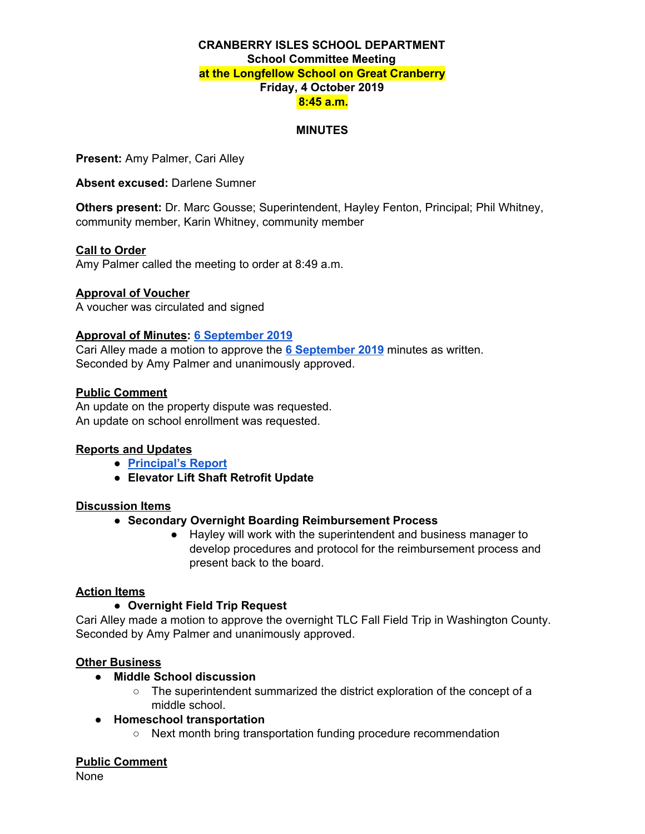### **CRANBERRY ISLES SCHOOL DEPARTMENT School Committee Meeting at the Longfellow School on Great Cranberry Friday, 4 October 2019 8:45 a.m.**

# **MINUTES**

**Present:** Amy Palmer, Cari Alley

**Absent excused:** Darlene Sumner

**Others present:** Dr. Marc Gousse; Superintendent, Hayley Fenton, Principal; Phil Whitney, community member, Karin Whitney, community member

### **Call to Order**

Amy Palmer called the meeting to order at 8:49 a.m.

### **Approval of Voucher**

A voucher was circulated and signed

### **Approval of Minutes: 6 [September](https://docs.google.com/document/d/1D48zYM7iTMdJDCyKAr_GVDq13fujo6t4QNRS6mtCxVs/edit) 2019**

Cari Alley made a motion to approve the **6 [September](https://docs.google.com/document/d/1D48zYM7iTMdJDCyKAr_GVDq13fujo6t4QNRS6mtCxVs/edit) 2019** minutes as written. Seconded by Amy Palmer and unanimously approved.

### **Public Comment**

An update on the property dispute was requested. An update on school enrollment was requested.

### **Reports and Updates**

- **● [Principal's](https://docs.google.com/document/d/1V6RCIi5zFwaaWd5UUujq1wKpFWyEm5DLhEZjE2iPokQ/edit?ts=5d973910&pli=1) Report**
- **● Elevator Lift Shaft Retrofit Update**

### **Discussion Items**

#### **● Secondary Overnight Boarding Reimbursement Process**

● Hayley will work with the superintendent and business manager to develop procedures and protocol for the reimbursement process and present back to the board.

#### **Action Items**

#### **● Overnight Field Trip Request**

Cari Alley made a motion to approve the overnight TLC Fall Field Trip in Washington County. Seconded by Amy Palmer and unanimously approved.

### **Other Business**

- **● Middle School discussion**
	- $\circ$  The superintendent summarized the district exploration of the concept of a middle school.
- **● Homeschool transportation**
	- Next month bring transportation funding procedure recommendation

# **Public Comment**

None